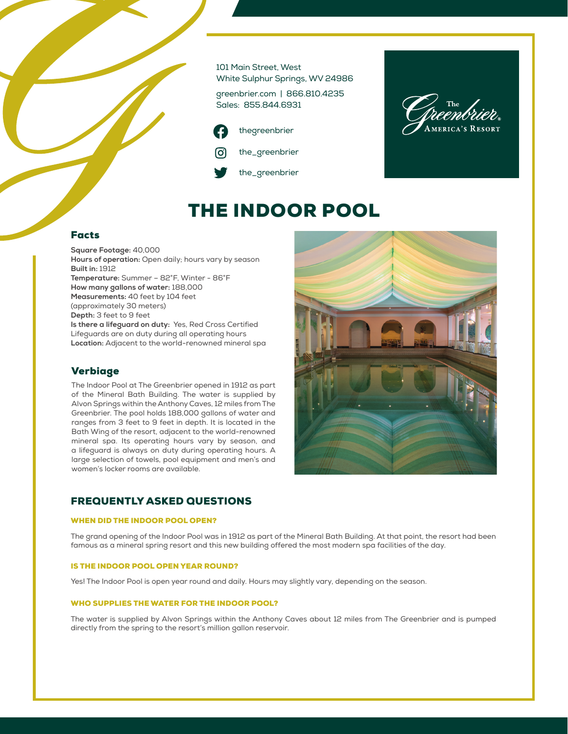101 Main Street, West White Sulphur Springs, WV 24986

greenbrier.com | 866.810.4235 Sales: 855.844.6931





# THE INDOOR POOL

## Facts

**Square Footage:** 40,000 **Hours of operation:** Open daily; hours vary by season **Built in:** 1912 **Temperature:** Summer – 82˚F, Winter - 86˚F **How many gallons of water:** 188,000 **Measurements:** 40 feet by 104 feet (approximately 30 meters) **Depth:** 3 feet to 9 feet **Is there a lifeguard on duty:** Yes, Red Cross Certified Lifeguards are on duty during all operating hours **Location:** Adjacent to the world-renowned mineral spa

## Verbiage

The Indoor Pool at The Greenbrier opened in 1912 as part of the Mineral Bath Building. The water is supplied by Alvon Springs within the Anthony Caves, 12 miles from The Greenbrier. The pool holds 188,000 gallons of water and ranges from 3 feet to 9 feet in depth. It is located in the Bath Wing of the resort, adjacent to the world-renowned mineral spa. Its operating hours vary by season, and a lifeguard is always on duty during operating hours. A large selection of towels, pool equipment and men's and women's locker rooms are available.

# FREQUENTLY ASKED QUESTIONS

#### WHEN DID THE INDOOR POOL OPEN?

The grand opening of the Indoor Pool was in 1912 as part of the Mineral Bath Building. At that point, the resort had been famous as a mineral spring resort and this new building offered the most modern spa facilities of the day.

#### IS THE INDOOR POOL OPEN YEAR ROUND?

Yes! The Indoor Pool is open year round and daily. Hours may slightly vary, depending on the season.

#### WHO SUPPLIES THE WATER FOR THE INDOOR POOL?

The water is supplied by Alvon Springs within the Anthony Caves about 12 miles from The Greenbrier and is pumped directly from the spring to the resort's million gallon reservoir.